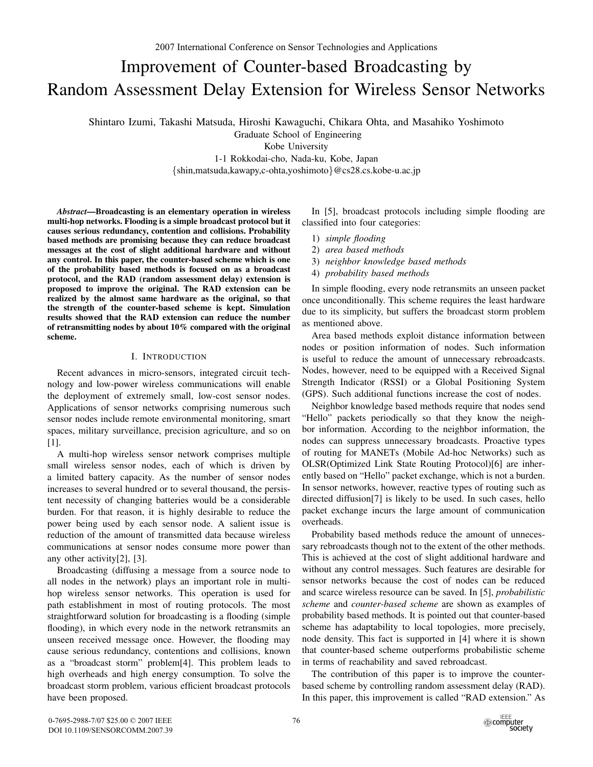# Improvement of Counter-based Broadcasting by Random Assessment Delay Extension for Wireless Sensor Networks

Shintaro Izumi, Takashi Matsuda, Hiroshi Kawaguchi, Chikara Ohta, and Masahiko Yoshimoto

Graduate School of Engineering Kobe University

1-1 Rokkodai-cho, Nada-ku, Kobe, Japan

*{*shin,matsuda,kawapy,c-ohta,yoshimoto*}*@cs28.cs.kobe-u.ac.jp

*Abstract*—Broadcasting is an elementary operation in wireless multi-hop networks. Flooding is a simple broadcast protocol but it causes serious redundancy, contention and collisions. Probability based methods are promising because they can reduce broadcast messages at the cost of slight additional hardware and without any control. In this paper, the counter-based scheme which is one of the probability based methods is focused on as a broadcast protocol, and the RAD (random assessment delay) extension is proposed to improve the original. The RAD extension can be realized by the almost same hardware as the original, so that the strength of the counter-based scheme is kept. Simulation results showed that the RAD extension can reduce the number of retransmitting nodes by about 10% compared with the original scheme.

## I. INTRODUCTION

Recent advances in micro-sensors, integrated circuit technology and low-power wireless communications will enable the deployment of extremely small, low-cost sensor nodes. Applications of sensor networks comprising numerous such sensor nodes include remote environmental monitoring, smart spaces, military surveillance, precision agriculture, and so on [1].

A multi-hop wireless sensor network comprises multiple small wireless sensor nodes, each of which is driven by a limited battery capacity. As the number of sensor nodes increases to several hundred or to several thousand, the persistent necessity of changing batteries would be a considerable burden. For that reason, it is highly desirable to reduce the power being used by each sensor node. A salient issue is reduction of the amount of transmitted data because wireless communications at sensor nodes consume more power than any other activity[2], [3].

Broadcasting (diffusing a message from a source node to all nodes in the network) plays an important role in multihop wireless sensor networks. This operation is used for path establishment in most of routing protocols. The most straightforward solution for broadcasting is a flooding (simple flooding), in which every node in the network retransmits an unseen received message once. However, the flooding may cause serious redundancy, contentions and collisions, known as a "broadcast storm" problem[4]. This problem leads to high overheads and high energy consumption. To solve the broadcast storm problem, various efficient broadcast protocols have been proposed.

In [5], broadcast protocols including simple flooding are classified into four categories:

- 1) *simple flooding*
- 2) *area based methods*
- 3) *neighbor knowledge based methods*
- 4) *probability based methods*

In simple flooding, every node retransmits an unseen packet once unconditionally. This scheme requires the least hardware due to its simplicity, but suffers the broadcast storm problem as mentioned above.

Area based methods exploit distance information between nodes or position information of nodes. Such information is useful to reduce the amount of unnecessary rebroadcasts. Nodes, however, need to be equipped with a Received Signal Strength Indicator (RSSI) or a Global Positioning System (GPS). Such additional functions increase the cost of nodes.

Neighbor knowledge based methods require that nodes send "Hello" packets periodically so that they know the neighbor information. According to the neighbor information, the nodes can suppress unnecessary broadcasts. Proactive types of routing for MANETs (Mobile Ad-hoc Networks) such as OLSR(Optimized Link State Routing Protocol)[6] are inherently based on "Hello" packet exchange, which is not a burden. In sensor networks, however, reactive types of routing such as directed diffusion[7] is likely to be used. In such cases, hello packet exchange incurs the large amount of communication overheads.

Probability based methods reduce the amount of unnecessary rebroadcasts though not to the extent of the other methods. This is achieved at the cost of slight additional hardware and without any control messages. Such features are desirable for sensor networks because the cost of nodes can be reduced and scarce wireless resource can be saved. In [5], *probabilistic scheme* and *counter-based scheme* are shown as examples of probability based methods. It is pointed out that counter-based scheme has adaptability to local topologies, more precisely, node density. This fact is supported in [4] where it is shown that counter-based scheme outperforms probabilistic scheme in terms of reachability and saved rebroadcast.

The contribution of this paper is to improve the counterbased scheme by controlling random assessment delay (RAD). In this paper, this improvement is called "RAD extension." As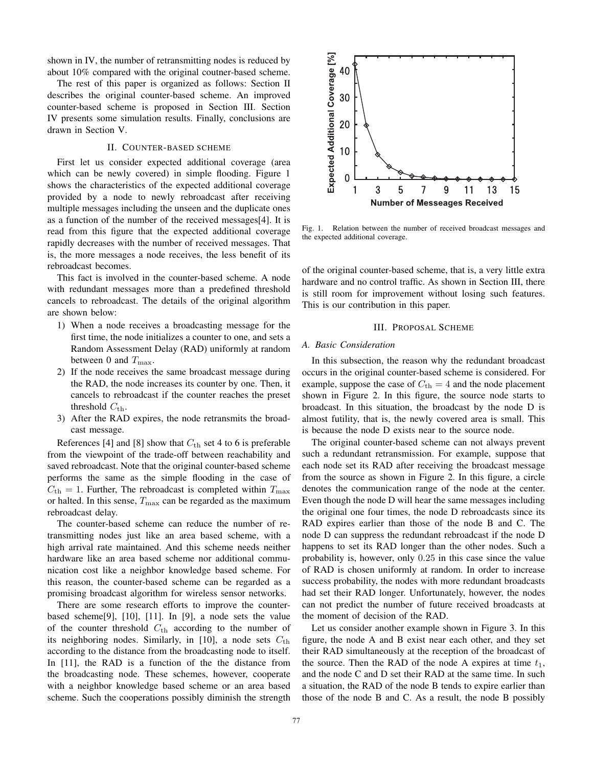shown in IV, the number of retransmitting nodes is reduced by about 10% compared with the original coutner-based scheme.

The rest of this paper is organized as follows: Section II describes the original counter-based scheme. An improved counter-based scheme is proposed in Section III. Section IV presents some simulation results. Finally, conclusions are drawn in Section V.

### II. COUNTER-BASED SCHEME

First let us consider expected additional coverage (area which can be newly covered) in simple flooding. Figure 1 shows the characteristics of the expected additional coverage provided by a node to newly rebroadcast after receiving multiple messages including the unseen and the duplicate ones as a function of the number of the received messages[4]. It is read from this figure that the expected additional coverage rapidly decreases with the number of received messages. That is, the more messages a node receives, the less benefit of its rebroadcast becomes.

This fact is involved in the counter-based scheme. A node with redundant messages more than a predefined threshold cancels to rebroadcast. The details of the original algorithm are shown below:

- 1) When a node receives a broadcasting message for the first time, the node initializes a counter to one, and sets a Random Assessment Delay (RAD) uniformly at random between 0 and  $T_{\text{max}}$ .
- 2) If the node receives the same broadcast message during the RAD, the node increases its counter by one. Then, it cancels to rebroadcast if the counter reaches the preset threshold  $C_{\text{th}}$ .
- 3) After the RAD expires, the node retransmits the broadcast message.

References [4] and [8] show that  $C_{th}$  set 4 to 6 is preferable from the viewpoint of the trade-off between reachability and saved rebroadcast. Note that the original counter-based scheme performs the same as the simple flooding in the case of  $C_{\text{th}} = 1$ . Further, The rebroadcast is completed within  $T_{\text{max}}$ or halted. In this sense,  $T_{\text{max}}$  can be regarded as the maximum rebroadcast delay.

The counter-based scheme can reduce the number of retransmitting nodes just like an area based scheme, with a high arrival rate maintained. And this scheme needs neither hardware like an area based scheme nor additional communication cost like a neighbor knowledge based scheme. For this reason, the counter-based scheme can be regarded as a promising broadcast algorithm for wireless sensor networks.

There are some research efforts to improve the counterbased scheme[9], [10], [11]. In [9], a node sets the value of the counter threshold *C*th according to the number of its neighboring nodes. Similarly, in [10], a node sets *C*th according to the distance from the broadcasting node to itself. In [11], the RAD is a function of the the distance from the broadcasting node. These schemes, however, cooperate with a neighbor knowledge based scheme or an area based scheme. Such the cooperations possibly diminish the strength



Fig. 1. Relation between the number of received broadcast messages and the expected additional coverage.

of the original counter-based scheme, that is, a very little extra hardware and no control traffic. As shown in Section III, there is still room for improvement without losing such features. This is our contribution in this paper.

#### III. PROPOSAL SCHEME

## *A. Basic Consideration*

In this subsection, the reason why the redundant broadcast occurs in the original counter-based scheme is considered. For example, suppose the case of  $C_{th} = 4$  and the node placement shown in Figure 2. In this figure, the source node starts to broadcast. In this situation, the broadcast by the node D is almost futility, that is, the newly covered area is small. This is because the node D exists near to the source node.

The original counter-based scheme can not always prevent such a redundant retransmission. For example, suppose that each node set its RAD after receiving the broadcast message from the source as shown in Figure 2. In this figure, a circle denotes the communication range of the node at the center. Even though the node D will hear the same messages including the original one four times, the node D rebroadcasts since its RAD expires earlier than those of the node B and C. The node D can suppress the redundant rebroadcast if the node D happens to set its RAD longer than the other nodes. Such a probability is, however, only 0*.*25 in this case since the value of RAD is chosen uniformly at random. In order to increase success probability, the nodes with more redundant broadcasts had set their RAD longer. Unfortunately, however, the nodes can not predict the number of future received broadcasts at the moment of decision of the RAD.

Let us consider another example shown in Figure 3. In this figure, the node A and B exist near each other, and they set their RAD simultaneously at the reception of the broadcast of the source. Then the RAD of the node A expires at time  $t_1$ , and the node C and D set their RAD at the same time. In such a situation, the RAD of the node B tends to expire earlier than those of the node B and C. As a result, the node B possibly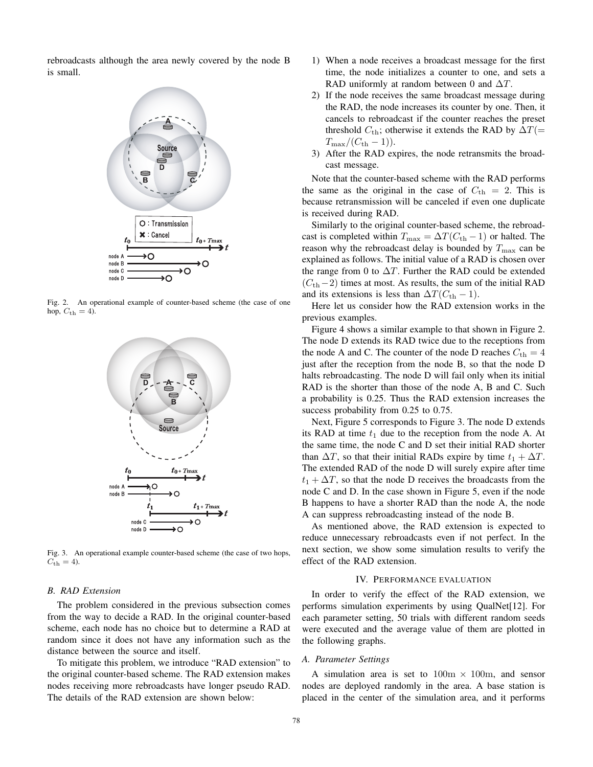rebroadcasts although the area newly covered by the node B is small.



Fig. 2. An operational example of counter-based scheme (the case of one hop,  $C_{\text{th}} = 4$ ).



Fig. 3. An operational example counter-based scheme (the case of two hops,  $C_{\rm th} = 4$ ).

#### *B. RAD Extension*

The problem considered in the previous subsection comes from the way to decide a RAD. In the original counter-based scheme, each node has no choice but to determine a RAD at random since it does not have any information such as the distance between the source and itself.

To mitigate this problem, we introduce "RAD extension" to the original counter-based scheme. The RAD extension makes nodes receiving more rebroadcasts have longer pseudo RAD. The details of the RAD extension are shown below:

- 1) When a node receives a broadcast message for the first time, the node initializes a counter to one, and sets a RAD uniformly at random between 0 and ∆*T*.
- 2) If the node receives the same broadcast message during the RAD, the node increases its counter by one. Then, it cancels to rebroadcast if the counter reaches the preset threshold  $C_{th}$ ; otherwise it extends the RAD by  $\Delta T$ (=  $T_{\text{max}}/(C_{\text{th}}-1)$ .
- 3) After the RAD expires, the node retransmits the broadcast message.

Note that the counter-based scheme with the RAD performs the same as the original in the case of  $C_{th} = 2$ . This is because retransmission will be canceled if even one duplicate is received during RAD.

Similarly to the original counter-based scheme, the rebroadcast is completed within  $T_{\text{max}} = \Delta T (C_{\text{th}} - 1)$  or halted. The reason why the rebroadcast delay is bounded by  $T_{\text{max}}$  can be explained as follows. The initial value of a RAD is chosen over the range from 0 to  $\Delta T$ . Further the RAD could be extended (*C*th*−*2) times at most. As results, the sum of the initial RAD and its extensions is less than  $\Delta T(C_{\text{th}} - 1)$ .

Here let us consider how the RAD extension works in the previous examples.

Figure 4 shows a similar example to that shown in Figure 2. The node D extends its RAD twice due to the receptions from the node A and C. The counter of the node D reaches  $C_{\text{th}} = 4$ just after the reception from the node B, so that the node D halts rebroadcasting. The node D will fail only when its initial RAD is the shorter than those of the node A, B and C. Such a probability is 0.25. Thus the RAD extension increases the success probability from 0.25 to 0.75.

Next, Figure 5 corresponds to Figure 3. The node D extends its RAD at time  $t_1$  due to the reception from the node A. At the same time, the node C and D set their initial RAD shorter than  $\Delta T$ , so that their initial RADs expire by time  $t_1 + \Delta T$ . The extended RAD of the node D will surely expire after time  $t_1 + \Delta T$ , so that the node D receives the broadcasts from the node C and D. In the case shown in Figure 5, even if the node B happens to have a shorter RAD than the node A, the node A can suppress rebroadcasting instead of the node B.

As mentioned above, the RAD extension is expected to reduce unnecessary rebroadcasts even if not perfect. In the next section, we show some simulation results to verify the effect of the RAD extension.

#### IV. PERFORMANCE EVALUATION

In order to verify the effect of the RAD extension, we performs simulation experiments by using QualNet[12]. For each parameter setting, 50 trials with different random seeds were executed and the average value of them are plotted in the following graphs.

## *A. Parameter Settings*

A simulation area is set to 100m *×* 100m, and sensor nodes are deployed randomly in the area. A base station is placed in the center of the simulation area, and it performs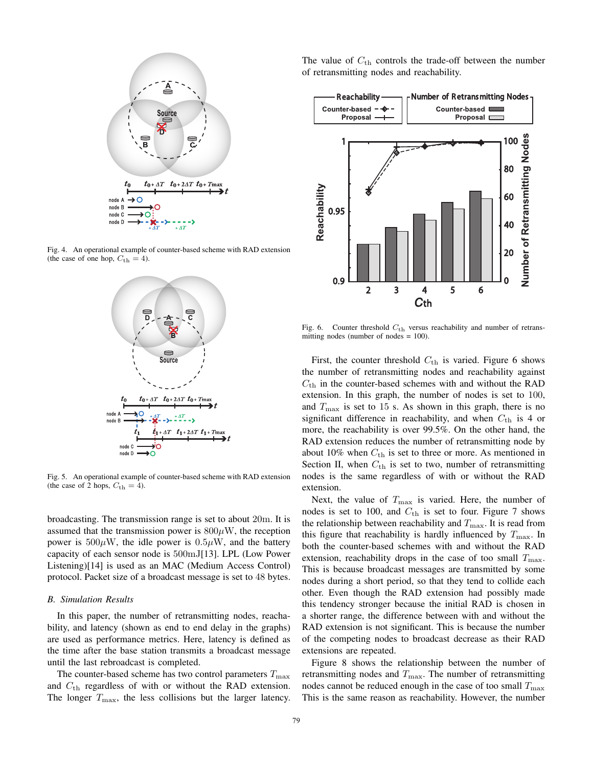

Fig. 4. An operational example of counter-based scheme with RAD extension (the case of one hop,  $C_{\text{th}} = 4$ ).



Fig. 5. An operational example of counter-based scheme with RAD extension (the case of 2 hops,  $C_{\text{th}} = 4$ ).

broadcasting. The transmission range is set to about 20m. It is assumed that the transmission power is  $800\mu$ W, the reception power is  $500\mu$ W, the idle power is  $0.5\mu$ W, and the battery capacity of each sensor node is 500mJ[13]. LPL (Low Power Listening)[14] is used as an MAC (Medium Access Control) protocol. Packet size of a broadcast message is set to 48 bytes.

#### *B. Simulation Results*

In this paper, the number of retransmitting nodes, reachability, and latency (shown as end to end delay in the graphs) are used as performance metrics. Here, latency is defined as the time after the base station transmits a broadcast message until the last rebroadcast is completed.

The counter-based scheme has two control parameters  $T_{\text{max}}$ and *C*th regardless of with or without the RAD extension. The longer  $T_{\text{max}}$ , the less collisions but the larger latency. The value of *C*th controls the trade-off between the number of retransmitting nodes and reachability.



Fig. 6. Counter threshold  $C_{\text{th}}$  versus reachability and number of retransmitting nodes (number of nodes = 100).

First, the counter threshold  $C_{th}$  is varied. Figure 6 shows the number of retransmitting nodes and reachability against  $C_{\text{th}}$  in the counter-based schemes with and without the RAD extension. In this graph, the number of nodes is set to 100, and  $T_{\text{max}}$  is set to 15 s. As shown in this graph, there is no significant difference in reachability, and when  $C_{th}$  is 4 or more, the reachability is over 99.5%. On the other hand, the RAD extension reduces the number of retransmitting node by about 10% when  $C_{\text{th}}$  is set to three or more. As mentioned in Section II, when  $C_{\text{th}}$  is set to two, number of retransmitting nodes is the same regardless of with or without the RAD extension.

Next, the value of  $T_{\text{max}}$  is varied. Here, the number of nodes is set to 100, and *C*th is set to four. Figure 7 shows the relationship between reachability and  $T_{\text{max}}$ . It is read from this figure that reachability is hardly influenced by  $T_{\text{max}}$ . In both the counter-based schemes with and without the RAD extension, reachability drops in the case of too small  $T_{\text{max}}$ . This is because broadcast messages are transmitted by some nodes during a short period, so that they tend to collide each other. Even though the RAD extension had possibly made this tendency stronger because the initial RAD is chosen in a shorter range, the difference between with and without the RAD extension is not significant. This is because the number of the competing nodes to broadcast decrease as their RAD extensions are repeated.

Figure 8 shows the relationship between the number of retransmitting nodes and  $T_{\text{max}}$ . The number of retransmitting nodes cannot be reduced enough in the case of too small  $T_{\text{max}}$ This is the same reason as reachability. However, the number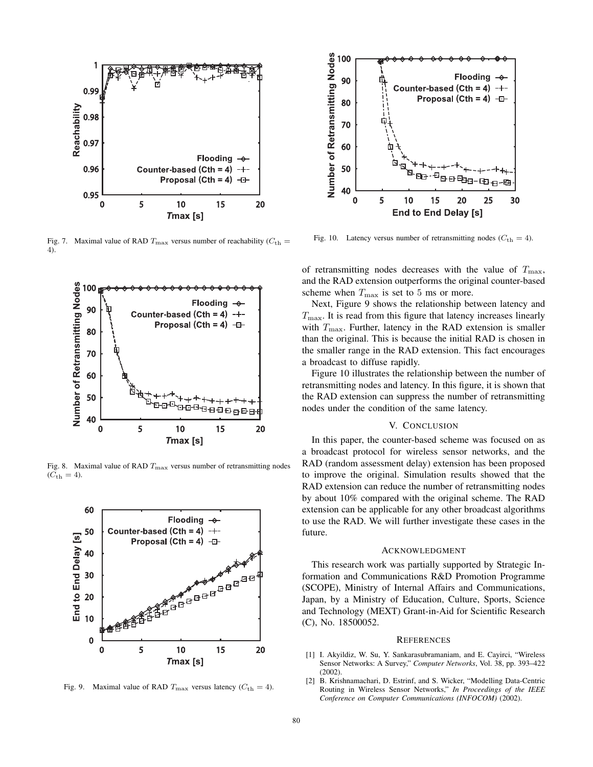

Fig. 7. Maximal value of RAD  $T_{\text{max}}$  versus number of reachability ( $C_{\text{th}} =$ 4).



Fig. 8. Maximal value of RAD  $T_{\text{max}}$  versus number of retransmitting nodes  $(C_{\rm th} = 4)$ .



Fig. 9. Maximal value of RAD  $T_{\text{max}}$  versus latency ( $C_{\text{th}} = 4$ ).



Fig. 10. Latency versus number of retransmitting nodes  $(C_{th} = 4)$ .

of retransmitting nodes decreases with the value of  $T_{\text{max}}$ , and the RAD extension outperforms the original counter-based scheme when  $T_{\text{max}}$  is set to 5 ms or more.

Next, Figure 9 shows the relationship between latency and *T*max. It is read from this figure that latency increases linearly with *T*<sub>max</sub>. Further, latency in the RAD extension is smaller than the original. This is because the initial RAD is chosen in the smaller range in the RAD extension. This fact encourages a broadcast to diffuse rapidly.

Figure 10 illustrates the relationship between the number of retransmitting nodes and latency. In this figure, it is shown that the RAD extension can suppress the number of retransmitting nodes under the condition of the same latency.

## V. CONCLUSION

In this paper, the counter-based scheme was focused on as a broadcast protocol for wireless sensor networks, and the RAD (random assessment delay) extension has been proposed to improve the original. Simulation results showed that the RAD extension can reduce the number of retransmitting nodes by about 10% compared with the original scheme. The RAD extension can be applicable for any other broadcast algorithms to use the RAD. We will further investigate these cases in the future.

#### ACKNOWLEDGMENT

This research work was partially supported by Strategic Information and Communications R&D Promotion Programme (SCOPE), Ministry of Internal Affairs and Communications, Japan, by a Ministry of Education, Culture, Sports, Science and Technology (MEXT) Grant-in-Aid for Scientific Research (C), No. 18500052.

#### **REFERENCES**

- [1] I. Akyildiz, W. Su, Y. Sankarasubramaniam, and E. Cayirci, "Wireless Sensor Networks: A Survey," *Computer Networks*, Vol. 38, pp. 393–422 (2002).
- [2] B. Krishnamachari, D. Estrinf, and S. Wicker, "Modelling Data-Centric Routing in Wireless Sensor Networks," *In Proceedings of the IEEE Conference on Computer Communications (INFOCOM)* (2002).